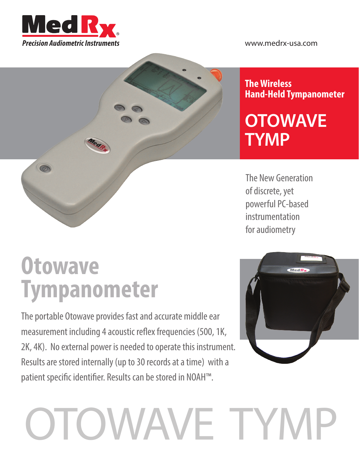



#### **The Wireless Hand-Held Tympanometer**

## **OTOWAVE TYMP**

The New Generation of discrete, yet powerful PC-based instrumentation for audiometry

# **Otowave Tympanometer**

The portable Otowave provides fast and accurate middle ear measurement including 4 acoustic reflex frequencies (500, 1K, 2K, 4K). No external power is needed to operate this instrument. Results are stored internally (up to 30 records at a time) with a patient specific identifier. Results can be stored in NOAH™.



# OTOWAVE TYMP